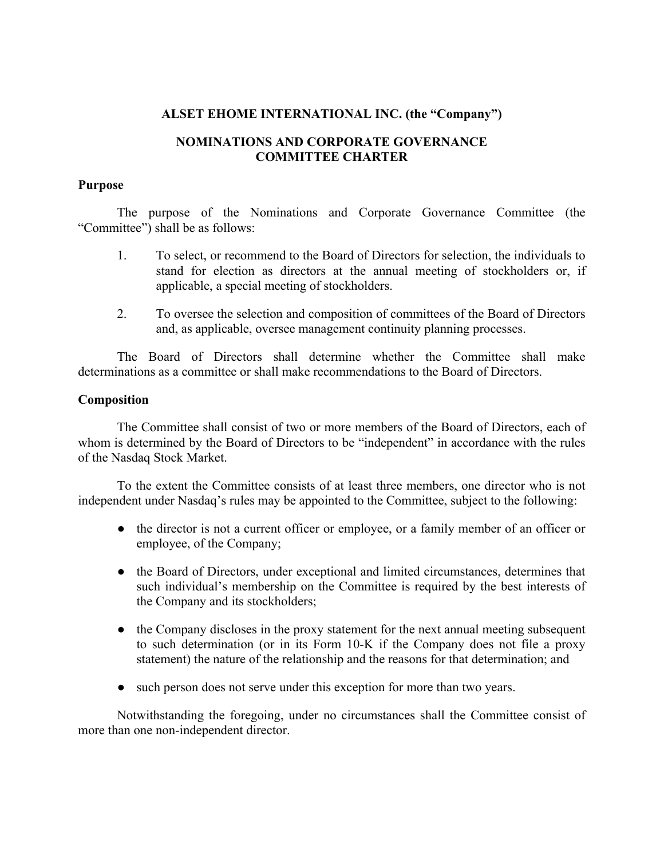## **ALSET EHOME INTERNATIONAL INC. (the "Company")**

# **NOMINATIONS AND CORPORATE GOVERNANCE COMMITTEE CHARTER**

### **Purpose**

The purpose of the Nominations and Corporate Governance Committee (the "Committee") shall be as follows:

- 1. To select, or recommend to the Board of Directors for selection, the individuals to stand for election as directors at the annual meeting of stockholders or, if applicable, a special meeting of stockholders.
- 2. To oversee the selection and composition of committees of the Board of Directors and, as applicable, oversee management continuity planning processes.

The Board of Directors shall determine whether the Committee shall make determinations as a committee or shall make recommendations to the Board of Directors.

## **Composition**

The Committee shall consist of two or more members of the Board of Directors, each of whom is determined by the Board of Directors to be "independent" in accordance with the rules of the Nasdaq Stock Market.

To the extent the Committee consists of at least three members, one director who is not independent under Nasdaq's rules may be appointed to the Committee, subject to the following:

- **●** the director is not a current officer or employee, or a family member of an officer or employee, of the Company;
- **●** the Board of Directors, under exceptional and limited circumstances, determines that such individual's membership on the Committee is required by the best interests of the Company and its stockholders;
- **●** the Company discloses in the proxy statement for the next annual meeting subsequent to such determination (or in its Form 10-K if the Company does not file a proxy statement) the nature of the relationship and the reasons for that determination; and
- **●** such person does not serve under this exception for more than two years.

Notwithstanding the foregoing, under no circumstances shall the Committee consist of more than one non-independent director.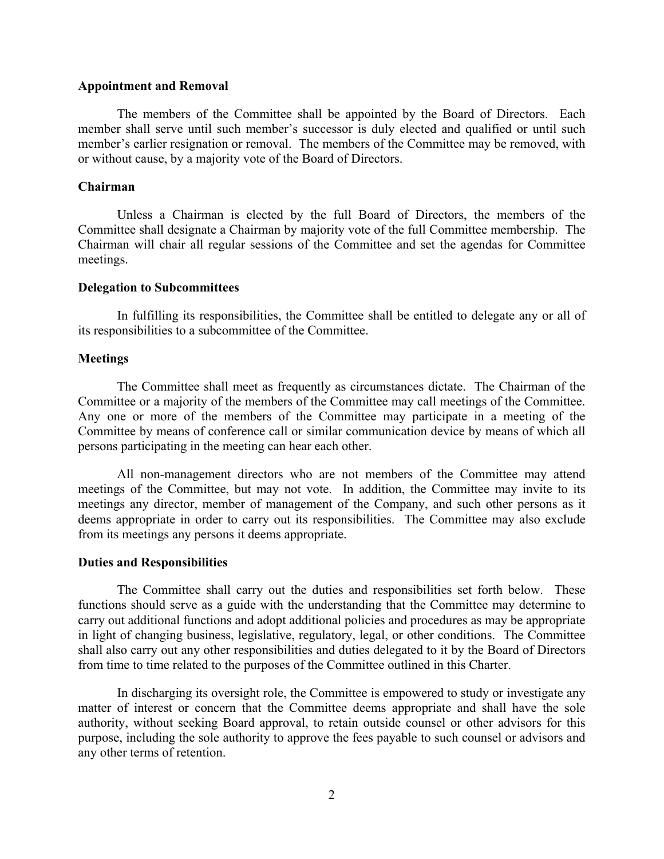#### **Appointment and Removal**

The members of the Committee shall be appointed by the Board of Directors. Each member shall serve until such member's successor is duly elected and qualified or until such member's earlier resignation or removal. The members of the Committee may be removed, with or without cause, by a majority vote of the Board of Directors.

### **Chairman**

Unless a Chairman is elected by the full Board of Directors, the members of the Committee shall designate a Chairman by majority vote of the full Committee membership. The Chairman will chair all regular sessions of the Committee and set the agendas for Committee meetings.

### **Delegation to Subcommittees**

In fulfilling its responsibilities, the Committee shall be entitled to delegate any or all of its responsibilities to a subcommittee of the Committee.

### **Meetings**

The Committee shall meet as frequently as circumstances dictate. The Chairman of the Committee or a majority of the members of the Committee may call meetings of the Committee. Any one or more of the members of the Committee may participate in a meeting of the Committee by means of conference call or similar communication device by means of which all persons participating in the meeting can hear each other.

All non-management directors who are not members of the Committee may attend meetings of the Committee, but may not vote. In addition, the Committee may invite to its meetings any director, member of management of the Company, and such other persons as it deems appropriate in order to carry out its responsibilities. The Committee may also exclude from its meetings any persons it deems appropriate.

### **Duties and Responsibilities**

The Committee shall carry out the duties and responsibilities set forth below. These functions should serve as a guide with the understanding that the Committee may determine to carry out additional functions and adopt additional policies and procedures as may be appropriate in light of changing business, legislative, regulatory, legal, or other conditions. The Committee shall also carry out any other responsibilities and duties delegated to it by the Board of Directors from time to time related to the purposes of the Committee outlined in this Charter.

In discharging its oversight role, the Committee is empowered to study or investigate any matter of interest or concern that the Committee deems appropriate and shall have the sole authority, without seeking Board approval, to retain outside counsel or other advisors for this purpose, including the sole authority to approve the fees payable to such counsel or advisors and any other terms of retention.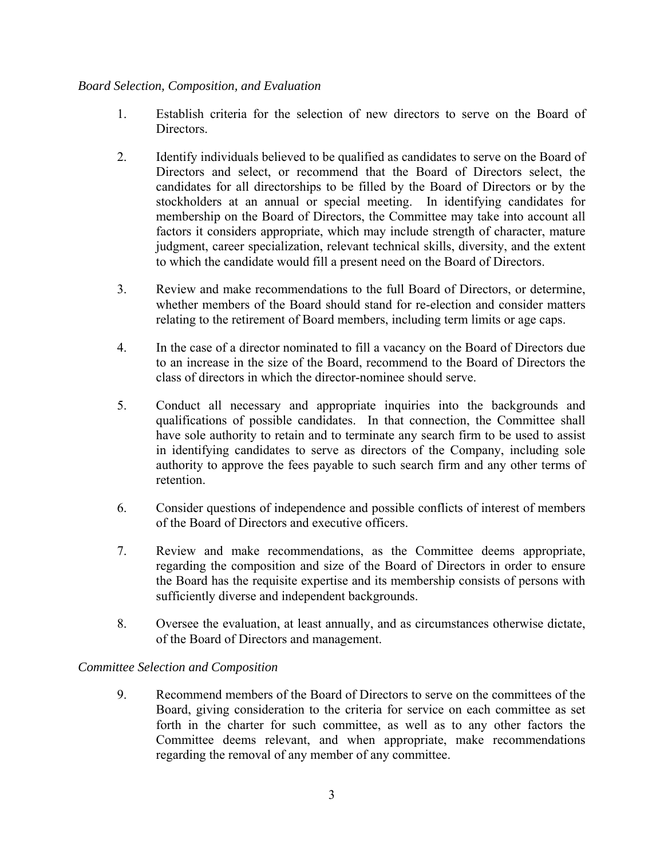# *Board Selection, Composition, and Evaluation*

- 1. Establish criteria for the selection of new directors to serve on the Board of Directors.
- 2. Identify individuals believed to be qualified as candidates to serve on the Board of Directors and select, or recommend that the Board of Directors select, the candidates for all directorships to be filled by the Board of Directors or by the stockholders at an annual or special meeting. In identifying candidates for membership on the Board of Directors, the Committee may take into account all factors it considers appropriate, which may include strength of character, mature judgment, career specialization, relevant technical skills, diversity, and the extent to which the candidate would fill a present need on the Board of Directors.
- 3. Review and make recommendations to the full Board of Directors, or determine, whether members of the Board should stand for re-election and consider matters relating to the retirement of Board members, including term limits or age caps.
- 4. In the case of a director nominated to fill a vacancy on the Board of Directors due to an increase in the size of the Board, recommend to the Board of Directors the class of directors in which the director-nominee should serve.
- 5. Conduct all necessary and appropriate inquiries into the backgrounds and qualifications of possible candidates. In that connection, the Committee shall have sole authority to retain and to terminate any search firm to be used to assist in identifying candidates to serve as directors of the Company, including sole authority to approve the fees payable to such search firm and any other terms of retention.
- 6. Consider questions of independence and possible conflicts of interest of members of the Board of Directors and executive officers.
- 7. Review and make recommendations, as the Committee deems appropriate, regarding the composition and size of the Board of Directors in order to ensure the Board has the requisite expertise and its membership consists of persons with sufficiently diverse and independent backgrounds.
- 8. Oversee the evaluation, at least annually, and as circumstances otherwise dictate, of the Board of Directors and management.

# *Committee Selection and Composition*

9. Recommend members of the Board of Directors to serve on the committees of the Board, giving consideration to the criteria for service on each committee as set forth in the charter for such committee, as well as to any other factors the Committee deems relevant, and when appropriate, make recommendations regarding the removal of any member of any committee.